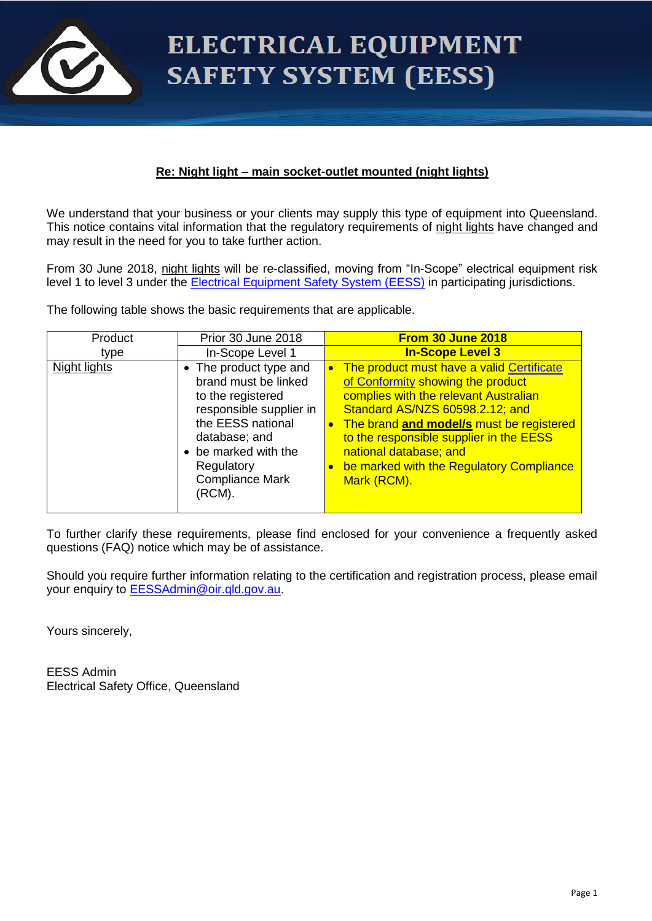

# ELECTRICAL EQUIPMENT **SAFETY SYSTEM (EESS)**

# **Re: Night light – main socket-outlet mounted (night lights)**

We understand that your business or your clients may supply this type of equipment into Queensland. This notice contains vital information that the regulatory requirements of night lights have changed and may result in the need for you to take further action.

From 30 June 2018, night lights will be re-classified, moving from "In-Scope" electrical equipment risk level 1 to level 3 under the [Electrical Equipment Safety System \(EESS\)](http://www.erac.gov.au/index.php?option=com_content&view=article&id=102&Itemid=552) in participating jurisdictions.

The following table shows the basic requirements that are applicable.

| Product      | Prior 30 June 2018                                                                                                                                                                                             | <b>From 30 June 2018</b>                                                                                                                                                                                                                                                                                                               |
|--------------|----------------------------------------------------------------------------------------------------------------------------------------------------------------------------------------------------------------|----------------------------------------------------------------------------------------------------------------------------------------------------------------------------------------------------------------------------------------------------------------------------------------------------------------------------------------|
| type         | In-Scope Level 1                                                                                                                                                                                               | <b>In-Scope Level 3</b>                                                                                                                                                                                                                                                                                                                |
| Night lights | • The product type and<br>brand must be linked<br>to the registered<br>responsible supplier in<br>the EESS national<br>database; and<br>• be marked with the<br>Regulatory<br><b>Compliance Mark</b><br>(RCM). | The product must have a valid Certificate<br>of Conformity showing the product<br>complies with the relevant Australian<br>Standard AS/NZS 60598.2.12; and<br>The brand and model/s must be registered<br>to the responsible supplier in the EESS<br>national database; and<br>be marked with the Regulatory Compliance<br>Mark (RCM). |

To further clarify these requirements, please find enclosed for your convenience a frequently asked questions (FAQ) notice which may be of assistance.

Should you require further information relating to the certification and registration process, please email your enquiry to **EESSAdmin@oir.qld.gov.au.** 

Yours sincerely,

EESS Admin Electrical Safety Office, Queensland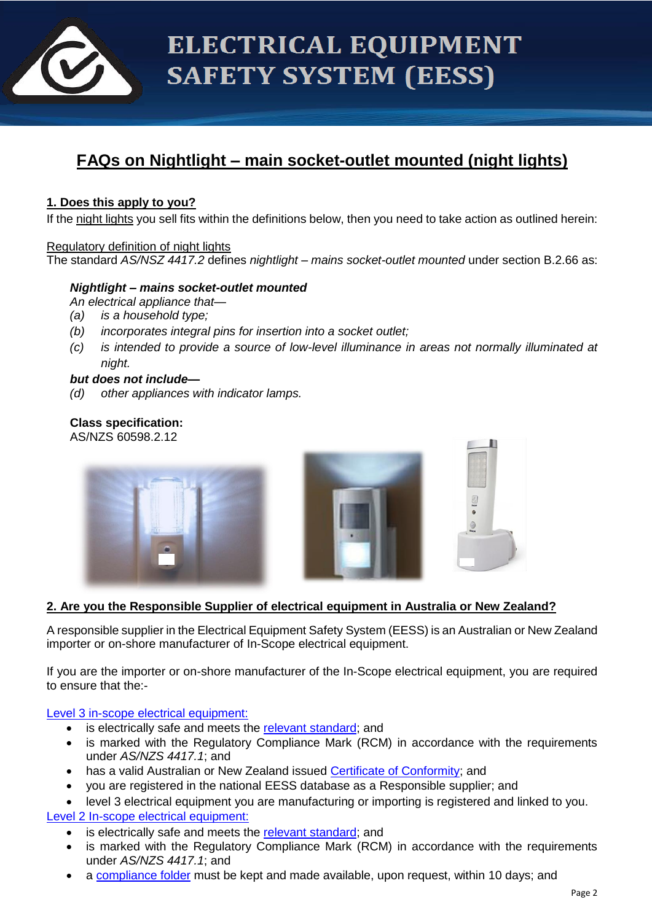

# **FAQs on Nightlight – main socket-outlet mounted (night lights)**

# **1. Does this apply to you?**

If the night lights you sell fits within the definitions below, then you need to take action as outlined herein:

### Regulatory definition of night lights

The standard *AS/NSZ 4417.2* defines *nightlight – mains socket-outlet mounted* under section B.2.66 as:

#### *Nightlight – mains socket-outlet mounted*

*An electrical appliance that—*

- *(a) is a household type;*
- *(b) incorporates integral pins for insertion into a socket outlet;*
- *(c) is intended to provide a source of low-level illuminance in areas not normally illuminated at night.*

#### *but does not include—*

*(d) other appliances with indicator lamps.*

#### **Class specification:** AS/NZS 60598.2.12





# **2. Are you the Responsible Supplier of electrical equipment in Australia or New Zealand?**

A responsible supplier in the Electrical Equipment Safety System (EESS) is an Australian or New Zealand importer or on-shore manufacturer of In-Scope electrical equipment.

If you are the importer or on-shore manufacturer of the In-Scope electrical equipment, you are required to ensure that the:-

[Level 3 in-scope electrical equipment:](http://www.erac.gov.au/index.php?option=com_content&view=article&id=110&Itemid=560)

- is electrically safe and meets the [relevant standard;](http://www.erac.gov.au/index.php?option=com_content&view=article&id=134&Itemid=585) and
- is marked with the Regulatory Compliance Mark (RCM) in accordance with the requirements under *AS/NZS 4417.1*; and
- has a valid Australian or New Zealand issued [Certificate of Conformity;](http://www.erac.gov.au/index.php?option=com_content&view=article&id=118&Itemid=567) and
- you are registered in the national EESS database as a Responsible supplier; and
- level 3 electrical equipment you are manufacturing or importing is registered and linked to you. [Level 2 In-scope electrical equipment:](http://www.erac.gov.au/index.php?option=com_content&view=article&id=111&Itemid=561)
	- is electrically safe and meets the [relevant standard;](http://www.erac.gov.au/index.php?option=com_content&view=article&id=134&Itemid=585) and
	- is marked with the Regulatory Compliance Mark (RCM) in accordance with the requirements under *AS/NZS 4417.1*; and
	- a [compliance folder](http://www.erac.gov.au/index.php?option=com_content&view=article&id=112&Itemid=562) must be kept and made available, upon request, within 10 days; and